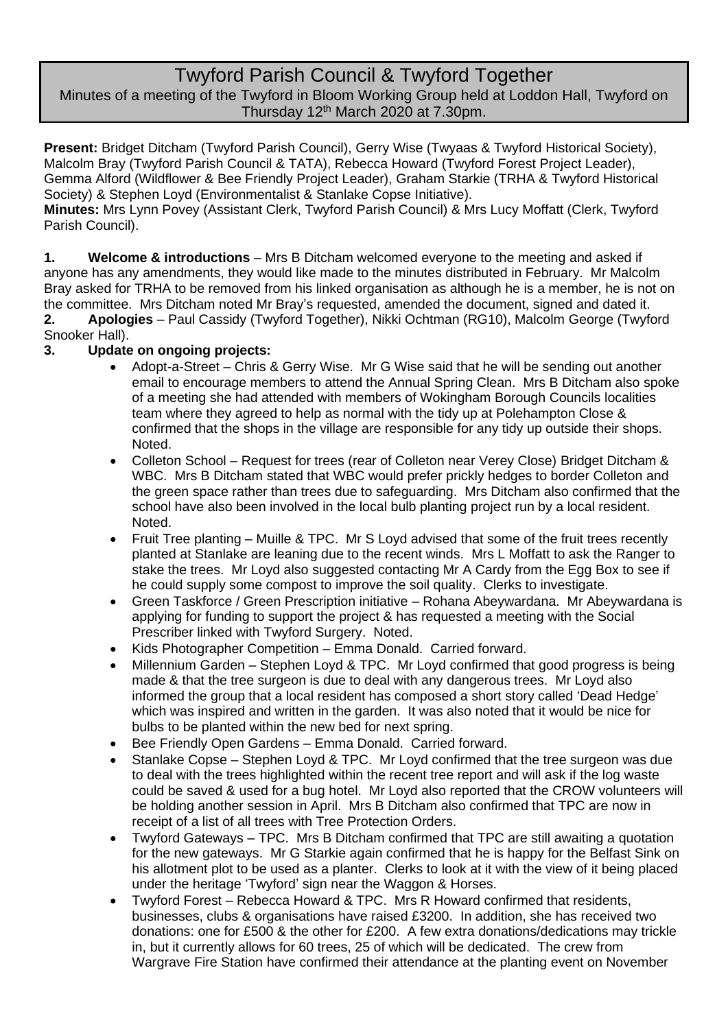# Twyford Parish Council & Twyford Together

Minutes of a meeting of the Twyford in Bloom Working Group held at Loddon Hall, Twyford on Thursday 12th March 2020 at 7.30pm.

**Present:** Bridget Ditcham (Twyford Parish Council), Gerry Wise (Twyaas & Twyford Historical Society), Malcolm Bray (Twyford Parish Council & TATA), Rebecca Howard (Twyford Forest Project Leader), Gemma Alford (Wildflower & Bee Friendly Project Leader), Graham Starkie (TRHA & Twyford Historical Society) & Stephen Loyd (Environmentalist & Stanlake Copse Initiative).

**Minutes:** Mrs Lynn Povey (Assistant Clerk, Twyford Parish Council) & Mrs Lucy Moffatt (Clerk, Twyford Parish Council).

**1. Welcome & introductions** – Mrs B Ditcham welcomed everyone to the meeting and asked if anyone has any amendments, they would like made to the minutes distributed in February. Mr Malcolm Bray asked for TRHA to be removed from his linked organisation as although he is a member, he is not on the committee. Mrs Ditcham noted Mr Bray's requested, amended the document, signed and dated it. **2. Apologies** – Paul Cassidy (Twyford Together), Nikki Ochtman (RG10), Malcolm George (Twyford Snooker Hall).

# **3. Update on ongoing projects:**

- Adopt-a-Street Chris & Gerry Wise. Mr G Wise said that he will be sending out another email to encourage members to attend the Annual Spring Clean. Mrs B Ditcham also spoke of a meeting she had attended with members of Wokingham Borough Councils localities team where they agreed to help as normal with the tidy up at Polehampton Close & confirmed that the shops in the village are responsible for any tidy up outside their shops. Noted.
- Colleton School Request for trees (rear of Colleton near Verey Close) Bridget Ditcham & WBC. Mrs B Ditcham stated that WBC would prefer prickly hedges to border Colleton and the green space rather than trees due to safeguarding. Mrs Ditcham also confirmed that the school have also been involved in the local bulb planting project run by a local resident. Noted.
- Fruit Tree planting Muille & TPC. Mr S Loyd advised that some of the fruit trees recently planted at Stanlake are leaning due to the recent winds. Mrs L Moffatt to ask the Ranger to stake the trees. Mr Loyd also suggested contacting Mr A Cardy from the Egg Box to see if he could supply some compost to improve the soil quality. Clerks to investigate.
- Green Taskforce / Green Prescription initiative Rohana Abeywardana. Mr Abeywardana is applying for funding to support the project & has requested a meeting with the Social Prescriber linked with Twyford Surgery. Noted.
- Kids Photographer Competition Emma Donald. Carried forward.
- Millennium Garden Stephen Loyd & TPC. Mr Loyd confirmed that good progress is being made & that the tree surgeon is due to deal with any dangerous trees. Mr Loyd also informed the group that a local resident has composed a short story called 'Dead Hedge' which was inspired and written in the garden. It was also noted that it would be nice for bulbs to be planted within the new bed for next spring.
- Bee Friendly Open Gardens Emma Donald. Carried forward.
- Stanlake Copse Stephen Loyd & TPC. Mr Loyd confirmed that the tree surgeon was due to deal with the trees highlighted within the recent tree report and will ask if the log waste could be saved & used for a bug hotel. Mr Loyd also reported that the CROW volunteers will be holding another session in April. Mrs B Ditcham also confirmed that TPC are now in receipt of a list of all trees with Tree Protection Orders.
- Twyford Gateways TPC. Mrs B Ditcham confirmed that TPC are still awaiting a quotation for the new gateways. Mr G Starkie again confirmed that he is happy for the Belfast Sink on his allotment plot to be used as a planter. Clerks to look at it with the view of it being placed under the heritage 'Twyford' sign near the Waggon & Horses.
- Twyford Forest Rebecca Howard & TPC. Mrs R Howard confirmed that residents, businesses, clubs & organisations have raised £3200. In addition, she has received two donations: one for £500 & the other for £200. A few extra donations/dedications may trickle in, but it currently allows for 60 trees, 25 of which will be dedicated. The crew from Wargrave Fire Station have confirmed their attendance at the planting event on November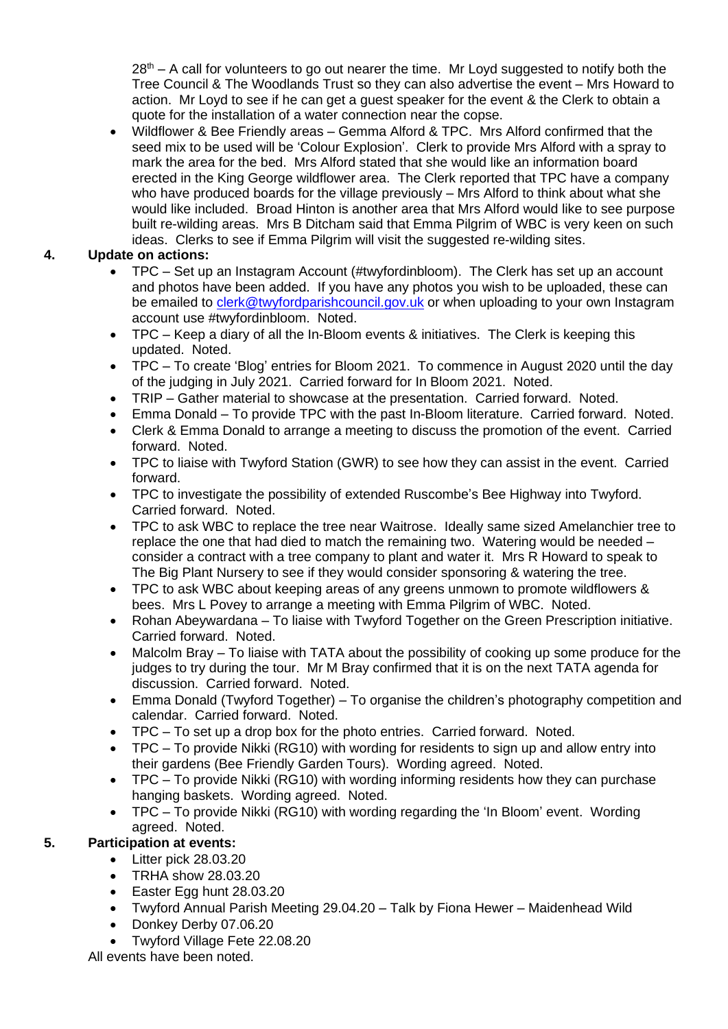$28<sup>th</sup> - A$  call for volunteers to go out nearer the time. Mr Loyd suggested to notify both the Tree Council & The Woodlands Trust so they can also advertise the event – Mrs Howard to action. Mr Loyd to see if he can get a guest speaker for the event & the Clerk to obtain a quote for the installation of a water connection near the copse.

• Wildflower & Bee Friendly areas – Gemma Alford & TPC. Mrs Alford confirmed that the seed mix to be used will be 'Colour Explosion'. Clerk to provide Mrs Alford with a spray to mark the area for the bed. Mrs Alford stated that she would like an information board erected in the King George wildflower area. The Clerk reported that TPC have a company who have produced boards for the village previously – Mrs Alford to think about what she would like included. Broad Hinton is another area that Mrs Alford would like to see purpose built re-wilding areas. Mrs B Ditcham said that Emma Pilgrim of WBC is very keen on such ideas. Clerks to see if Emma Pilgrim will visit the suggested re-wilding sites.

# **4. Update on actions:**

- TPC Set up an Instagram Account (#twyfordinbloom). The Clerk has set up an account and photos have been added. If you have any photos you wish to be uploaded, these can be emailed to [clerk@twyfordparishcouncil.gov.uk](mailto:clerk@twyfordparishcouncil.gov.uk) or when uploading to your own Instagram account use #twyfordinbloom. Noted.
- TPC Keep a diary of all the In-Bloom events & initiatives. The Clerk is keeping this updated. Noted.
- TPC To create 'Blog' entries for Bloom 2021. To commence in August 2020 until the day of the judging in July 2021. Carried forward for In Bloom 2021. Noted.
- TRIP Gather material to showcase at the presentation. Carried forward. Noted.
- Emma Donald To provide TPC with the past In-Bloom literature. Carried forward. Noted.
- Clerk & Emma Donald to arrange a meeting to discuss the promotion of the event. Carried forward. Noted.
- TPC to liaise with Twyford Station (GWR) to see how they can assist in the event. Carried forward.
- TPC to investigate the possibility of extended Ruscombe's Bee Highway into Twyford. Carried forward. Noted.
- TPC to ask WBC to replace the tree near Waitrose. Ideally same sized Amelanchier tree to replace the one that had died to match the remaining two. Watering would be needed – consider a contract with a tree company to plant and water it. Mrs R Howard to speak to The Big Plant Nursery to see if they would consider sponsoring & watering the tree.
- TPC to ask WBC about keeping areas of any greens unmown to promote wildflowers & bees. Mrs L Povey to arrange a meeting with Emma Pilgrim of WBC. Noted.
- Rohan Abeywardana To liaise with Twyford Together on the Green Prescription initiative. Carried forward. Noted.
- Malcolm Bray To liaise with TATA about the possibility of cooking up some produce for the judges to try during the tour. Mr M Bray confirmed that it is on the next TATA agenda for discussion. Carried forward. Noted.
- Emma Donald (Twyford Together) To organise the children's photography competition and calendar. Carried forward. Noted.
- TPC To set up a drop box for the photo entries. Carried forward. Noted.
- TPC To provide Nikki (RG10) with wording for residents to sign up and allow entry into their gardens (Bee Friendly Garden Tours). Wording agreed. Noted.
- TPC To provide Nikki (RG10) with wording informing residents how they can purchase hanging baskets. Wording agreed. Noted.
- TPC To provide Nikki (RG10) with wording regarding the 'In Bloom' event. Wording agreed. Noted.

# **5. Participation at events:**

- Litter pick 28.03.20
- TRHA show 28.03.20
- Easter Egg hunt 28.03.20
- Twyford Annual Parish Meeting 29.04.20 Talk by Fiona Hewer Maidenhead Wild
- Donkey Derby 07.06.20
- Twyford Village Fete 22.08.20

All events have been noted.